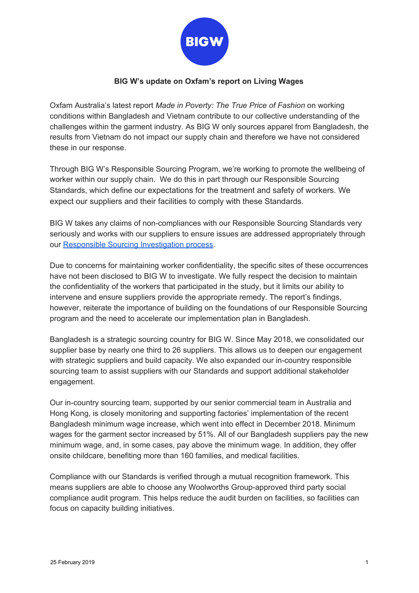

## **BIG W's update on Oxfam's report on Living Wages**

Oxfam Australia's latest report *Made in Poverty: The True Price of Fashion* on working conditions within Bangladesh and Vietnam contribute to our collective understanding of the challenges within the garment industry. As BIG W only sources apparel from Bangladesh, the results from Vietnam do not impact our supply chain and therefore we have not considered these in our response.

Through BIG W's Responsible Sourcing Program, we're working to promote the wellbeing of worker within our supply chain. We do this in part through our Responsible Sourcing Standards, which define our expectations for the treatment and safety of workers. We expect our suppliers and their facilities to comply with these Standards.

BIG W takes any claims of non-compliances with our Responsible Sourcing Standards very seriously and works with our suppliers to ensure issues are addressed appropriately through our Responsible Sourcing [Investigation](https://www.woolworthsgroup.com.au/icms_docs/195406_woolworths-group-grievance-and-investigation-procedure.pdf) process.

Due to concerns for maintaining worker confidentiality, the specific sites of these occurrences have not been disclosed to BIG W to investigate. We fully respect the decision to maintain the confidentiality of the workers that participated in the study, but it limits our ability to intervene and ensure suppliers provide the appropriate remedy. The report's findings, however, reiterate the importance of building on the foundations of our Responsible Sourcing program and the need to accelerate our implementation plan in Bangladesh.

Bangladesh is a strategic sourcing country for BIG W. Since May 2018, we consolidated our supplier base by nearly one third to 26 suppliers. This allows us to deepen our engagement with strategic suppliers and build capacity. We also expanded our in-country responsible sourcing team to assist suppliers with our Standards and support additional stakeholder engagement.

Our in-country sourcing team, supported by our senior commercial team in Australia and Hong Kong, is closely monitoring and supporting factories' implementation of the recent Bangladesh minimum wage increase, which went into effect in December 2018. Minimum wages for the garment sector increased by 51%. All of our Bangladesh suppliers pay the new minimum wage, and, in some cases, pay above the minimum wage. In addition, they offer onsite childcare, benefiting more than 160 families, and medical facilities.

Compliance with our Standards is verified through a mutual recognition framework. This means suppliers are able to choose any Woolworths Group-approved third party social compliance audit program. This helps reduce the audit burden on facilities, so facilities can focus on capacity building initiatives.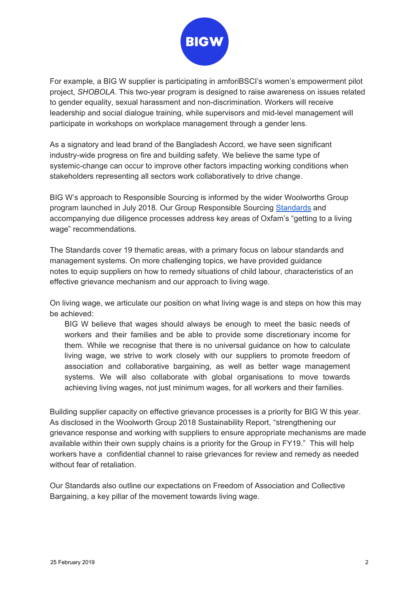

For example, a BIG W supplier is participating in amforiBSCI's women's empowerment pilot project, *SHOBOLA.* This two-year program is designed to raise awareness on issues related to gender equality, sexual harassment and non-discrimination. Workers will receive leadership and social dialogue training, while supervisors and mid-level management will participate in workshops on workplace management through a gender lens.

As a signatory and lead brand of the Bangladesh Accord, we have seen significant industry-wide progress on fire and building safety. We believe the same type of systemic-change can occur to improve other factors impacting working conditions when stakeholders representing all sectors work collaboratively to drive change.

BIG W's approach to Responsible Sourcing is informed by the wider Woolworths Group program launched in July 2018. Our Group Responsible Sourcing [Standards](https://www.woolworthsgroup.com.au/icms_docs/189698_responsible-sourcing-standards.pdf) and accompanying due diligence processes address key areas of Oxfam's "getting to a living wage" recommendations.

The Standards cover 19 thematic areas, with a primary focus on labour standards and management systems. On more challenging topics, we have provided guidance notes to equip suppliers on how to remedy situations of child labour, characteristics of an effective grievance mechanism and our approach to living wage.

On living wage, we articulate our position on what living wage is and steps on how this may be achieved:

BIG W believe that wages should always be enough to meet the basic needs of workers and their families and be able to provide some discretionary income for them. While we recognise that there is no universal guidance on how to calculate living wage, we strive to work closely with our suppliers to promote freedom of association and collaborative bargaining, as well as better wage management systems. We will also collaborate with global organisations to move towards achieving living wages, not just minimum wages, for all workers and their families.

Building supplier capacity on effective grievance processes is a priority for BIG W this year. As disclosed in the Woolworth Group 2018 Sustainability Report, "strengthening our grievance response and working with suppliers to ensure appropriate mechanisms are made available within their own supply chains is a priority for the Group in FY19." This will help workers have a confidential channel to raise grievances for review and remedy as needed without fear of retaliation.

Our Standards also outline our expectations on Freedom of Association and Collective Bargaining, a key pillar of the movement towards living wage.